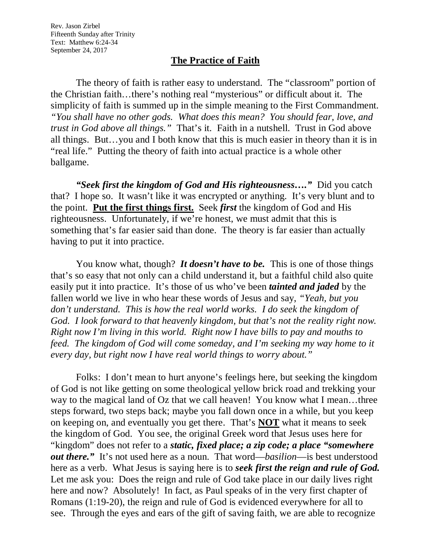Rev. Jason Zirbel Fifteenth Sunday after Trinity Text: Matthew 6:24-34 September 24, 2017

## **The Practice of Faith**

The theory of faith is rather easy to understand. The "classroom" portion of the Christian faith…there's nothing real "mysterious" or difficult about it. The simplicity of faith is summed up in the simple meaning to the First Commandment. *"You shall have no other gods. What does this mean? You should fear, love, and trust in God above all things."* That's it. Faith in a nutshell. Trust in God above all things. But…you and I both know that this is much easier in theory than it is in "real life." Putting the theory of faith into actual practice is a whole other ballgame.

*"Seek first the kingdom of God and His righteousness…."* Did you catch that? I hope so. It wasn't like it was encrypted or anything. It's very blunt and to the point. **Put the first things first.** Seek *first* the kingdom of God and His righteousness. Unfortunately, if we're honest, we must admit that this is something that's far easier said than done. The theory is far easier than actually having to put it into practice.

You know what, though? *It doesn't have to be*. This is one of those things that's so easy that not only can a child understand it, but a faithful child also quite easily put it into practice. It's those of us who've been *tainted and jaded* by the fallen world we live in who hear these words of Jesus and say, *"Yeah, but you*  don't understand. This is how the real world works. I do seek the kingdom of *God. I look forward to that heavenly kingdom, but that's not the reality right now. Right now I'm living in this world. Right now I have bills to pay and mouths to feed. The kingdom of God will come someday, and I'm seeking my way home to it every day, but right now I have real world things to worry about."*

Folks: I don't mean to hurt anyone's feelings here, but seeking the kingdom of God is not like getting on some theological yellow brick road and trekking your way to the magical land of Oz that we call heaven! You know what I mean...three steps forward, two steps back; maybe you fall down once in a while, but you keep on keeping on, and eventually you get there. That's **NOT** what it means to seek the kingdom of God. You see, the original Greek word that Jesus uses here for "kingdom" does not refer to a *static, fixed place; a zip code; a place "somewhere out there."* It's not used here as a noun. That word—*basilion*—is best understood here as a verb. What Jesus is saying here is to *seek first the reign and rule of God.* Let me ask you: Does the reign and rule of God take place in our daily lives right here and now? Absolutely! In fact, as Paul speaks of in the very first chapter of Romans (1:19-20), the reign and rule of God is evidenced everywhere for all to see. Through the eyes and ears of the gift of saving faith, we are able to recognize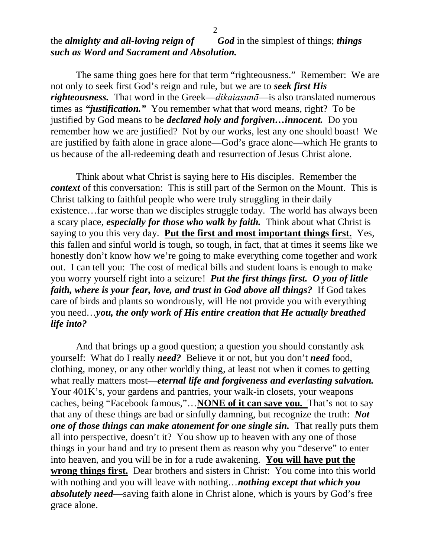The same thing goes here for that term "righteousness." Remember: We are not only to seek first God's reign and rule, but we are to *seek first His righteousness.* That word in the Greek—*dikaiasunā*—is also translated numerous times as *"justification."* You remember what that word means, right? To be justified by God means to be *declared holy and forgiven…innocent.* Do you remember how we are justified? Not by our works, lest any one should boast! We are justified by faith alone in grace alone—God's grace alone—which He grants to us because of the all-redeeming death and resurrection of Jesus Christ alone.

Think about what Christ is saying here to His disciples. Remember the *context* of this conversation: This is still part of the Sermon on the Mount. This is Christ talking to faithful people who were truly struggling in their daily existence…far worse than we disciples struggle today. The world has always been a scary place, *especially for those who walk by faith.* Think about what Christ is saying to you this very day. **Put the first and most important things first.** Yes, this fallen and sinful world is tough, so tough, in fact, that at times it seems like we honestly don't know how we're going to make everything come together and work out. I can tell you: The cost of medical bills and student loans is enough to make you worry yourself right into a seizure! *Put the first things first. O you of little faith, where is your fear, love, and trust in God above all things?* If God takes care of birds and plants so wondrously, will He not provide you with everything you need…*you, the only work of His entire creation that He actually breathed life into?*

And that brings up a good question; a question you should constantly ask yourself: What do I really *need?* Believe it or not, but you don't *need* food, clothing, money, or any other worldly thing, at least not when it comes to getting what really matters most—*eternal life and forgiveness and everlasting salvation*. Your 401K's, your gardens and pantries, your walk-in closets, your weapons caches, being "Facebook famous,"…**NONE of it can save you.** That's not to say that any of these things are bad or sinfully damning, but recognize the truth: *Not one of those things can make atonement for one single sin.* That really puts them all into perspective, doesn't it? You show up to heaven with any one of those things in your hand and try to present them as reason why you "deserve" to enter into heaven, and you will be in for a rude awakening. **You will have put the wrong things first.** Dear brothers and sisters in Christ: You come into this world with nothing and you will leave with nothing…*nothing except that which you absolutely need*—saving faith alone in Christ alone, which is yours by God's free grace alone.